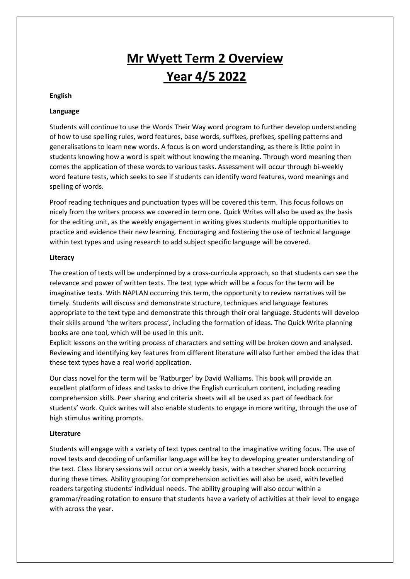# **Mr Wyett Term 2 Overview Year 4/5 2022**

## **English**

# **Language**

Students will continue to use the Words Their Way word program to further develop understanding of how to use spelling rules, word features, base words, suffixes, prefixes, spelling patterns and generalisations to learn new words. A focus is on word understanding, as there is little point in students knowing how a word is spelt without knowing the meaning. Through word meaning then comes the application of these words to various tasks. Assessment will occur through bi-weekly word feature tests, which seeks to see if students can identify word features, word meanings and spelling of words.

Proof reading techniques and punctuation types will be covered this term. This focus follows on nicely from the writers process we covered in term one. Quick Writes will also be used as the basis for the editing unit, as the weekly engagement in writing gives students multiple opportunities to practice and evidence their new learning. Encouraging and fostering the use of technical language within text types and using research to add subject specific language will be covered.

# **Literacy**

The creation of texts will be underpinned by a cross-curricula approach, so that students can see the relevance and power of written texts. The text type which will be a focus for the term will be imaginative texts. With NAPLAN occurring this term, the opportunity to review narratives will be timely. Students will discuss and demonstrate structure, techniques and language features appropriate to the text type and demonstrate this through their oral language. Students will develop their skills around 'the writers process', including the formation of ideas. The Quick Write planning books are one tool, which will be used in this unit.

Explicit lessons on the writing process of characters and setting will be broken down and analysed. Reviewing and identifying key features from different literature will also further embed the idea that these text types have a real world application.

Our class novel for the term will be 'Ratburger' by David Walliams. This book will provide an excellent platform of ideas and tasks to drive the English curriculum content, including reading comprehension skills. Peer sharing and criteria sheets will all be used as part of feedback for students' work. Quick writes will also enable students to engage in more writing, through the use of high stimulus writing prompts.

# **Literature**

Students will engage with a variety of text types central to the imaginative writing focus. The use of novel tests and decoding of unfamiliar language will be key to developing greater understanding of the text. Class library sessions will occur on a weekly basis, with a teacher shared book occurring during these times. Ability grouping for comprehension activities will also be used, with levelled readers targeting students' individual needs. The ability grouping will also occur within a grammar/reading rotation to ensure that students have a variety of activities at their level to engage with across the year.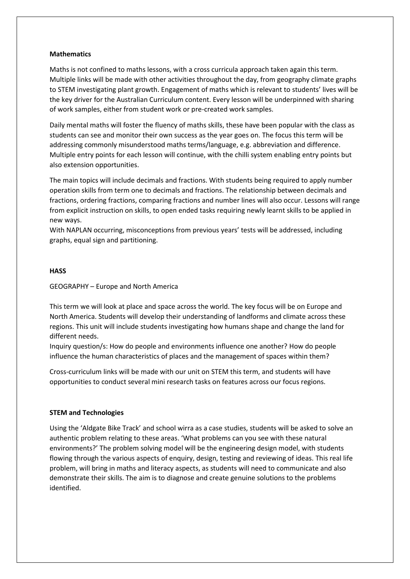## **Mathematics**

Maths is not confined to maths lessons, with a cross curricula approach taken again this term. Multiple links will be made with other activities throughout the day, from geography climate graphs to STEM investigating plant growth. Engagement of maths which is relevant to students' lives will be the key driver for the Australian Curriculum content. Every lesson will be underpinned with sharing of work samples, either from student work or pre-created work samples.

Daily mental maths will foster the fluency of maths skills, these have been popular with the class as students can see and monitor their own success as the year goes on. The focus this term will be addressing commonly misunderstood maths terms/language, e.g. abbreviation and difference. Multiple entry points for each lesson will continue, with the chilli system enabling entry points but also extension opportunities.

The main topics will include decimals and fractions. With students being required to apply number operation skills from term one to decimals and fractions. The relationship between decimals and fractions, ordering fractions, comparing fractions and number lines will also occur. Lessons will range from explicit instruction on skills, to open ended tasks requiring newly learnt skills to be applied in new ways.

With NAPLAN occurring, misconceptions from previous years' tests will be addressed, including graphs, equal sign and partitioning.

#### **HASS**

#### GEOGRAPHY – Europe and North America

This term we will look at place and space across the world. The key focus will be on Europe and North America. Students will develop their understanding of landforms and climate across these regions. This unit will include students investigating how humans shape and change the land for different needs.

Inquiry question/s: How do people and environments influence one another? How do people influence the human characteristics of places and the management of spaces within them?

Cross-curriculum links will be made with our unit on STEM this term, and students will have opportunities to conduct several mini research tasks on features across our focus regions.

#### **STEM and Technologies**

Using the 'Aldgate Bike Track' and school wirra as a case studies, students will be asked to solve an authentic problem relating to these areas. 'What problems can you see with these natural environments?' The problem solving model will be the engineering design model, with students flowing through the various aspects of enquiry, design, testing and reviewing of ideas. This real life problem, will bring in maths and literacy aspects, as students will need to communicate and also demonstrate their skills. The aim is to diagnose and create genuine solutions to the problems identified.